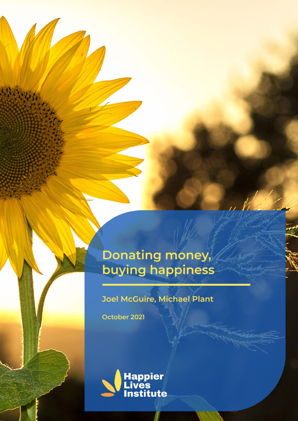# Donating money, buying happiness

#### **Joel McGuire, Michael Plant**

October 2021

43.13.42

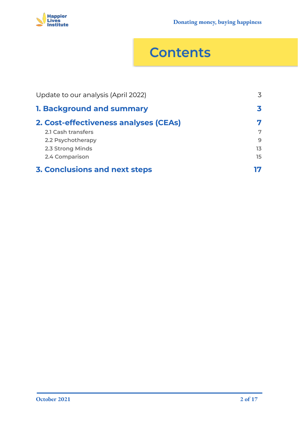

# **Contents**

| Update to our analysis (April 2022)   | 3  |
|---------------------------------------|----|
| <b>1. Background and summary</b>      |    |
| 2. Cost-effectiveness analyses (CEAs) | 7  |
| 2.1 Cash transfers                    | 7  |
| 2.2 Psychotherapy                     | 9  |
| 2.3 Strong Minds                      | 13 |
| 2.4 Comparison                        | 15 |
| <b>3. Conclusions and next steps</b>  | 17 |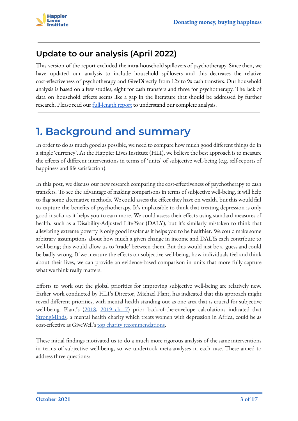#### <span id="page-2-0"></span>**Update to our analysis (April 2022)**

This version of the report excluded the intra-household spillovers of psychotherapy. Since then, we have updated our analysis to include household spillovers and this decreases the relative cost-effectiveness of psychotherapy and GiveDirectly from 12x to 9x cash transfers. Our household analysis is based on a few studies, eight for cash transfers and three for psychotherapy. The lack of data on household effects seems like a gap in the literature that should be addressed by further research. Please read our **[full-length report](https://www.happierlivesinstitute.org/report/happiness-for-the-whole-family/)** to understand our complete analysis.

### <span id="page-2-1"></span>**1. Background and summary**

In order to do as much good as possible, we need to compare how much good different things do in a single 'currency'. At the Happier Lives Institute (HLI), we believe the best approach is to measure the effects of different interventions in terms of 'units' of subjective well-being (e.g. self-reports of happiness and life satisfaction).

In this post, we discuss our new research comparing the cost-effectiveness of psychotherapy to cash transfers. To see the advantage of making comparisons in terms of subjective well-being, it will help to flag some alternative methods. We could assess the effect they have on wealth, but this would fail to capture the benefits of psychotherapy. It's implausible to think that treating depression is only good insofar as it helps you to earn more. We could assess their effects using standard measures of health, such as a Disability-Adjusted Life-Year (DALY), but it's similarly mistaken to think that alleviating extreme poverty is only good insofar as it helps you to be healthier. We could make some arbitrary assumptions about how much a given change in income and DALYs each contribute to well-being; this would allow us to 'trade' between them. But this would just be a guess and could be badly wrong. If we measure the effects on subjective well-being, how individuals feel and think about their lives, we can provide an evidence-based comparison in units that more fully capture what we think really matters.

Efforts to work out the global priorities for improving subjective well-being are relatively new. Earlier work conducted by HLI's Director, Michael Plant, has indicated that this approach might reveal different priorities, with mental health standing out as one area that is crucial for subjective well-being. Plant's [\(2018](https://forum.effectivealtruism.org/posts/FvbTKrEQWXwN5A6Tb/a-happiness-manifesto-why-and-how-effective-altruism-should), [2019 ch. 7\)](https://philpapers.org/rec/PLADGB) prior back-of-the-envelope calculations indicated that [StrongMinds,](https://strongminds.org/) a mental health charity which treats women with depression in Africa, could be as cost-effective as GiveWell's [top charity recommendations.](https://www.givewell.org/charities/top-charities)

These initial findings motivated us to do a much more rigorous analysis of the same interventions in terms of subjective well-being, so we undertook meta-analyses in each case. These aimed to address three questions: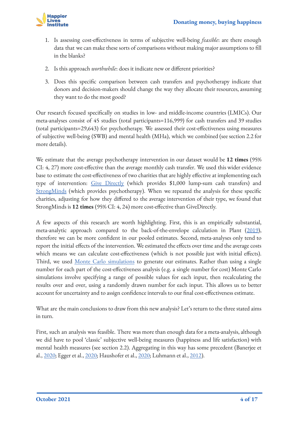

- 1. Is assessing cost-effectiveness in terms of subjective well-being *feasible*: are there enough data that we can make these sorts of comparisons without making major assumptions to fill in the blanks?
- 2. Is this approach *worthwhile*: does it indicate new or different priorities?
- 3. Does this specific comparison between cash transfers and psychotherapy indicate that donors and decision-makers should change the way they allocate their resources, assuming they want to do the most good?

Our research focused specifically on studies in low- and middle-income countries (LMICs). Our meta-analyses consist of 45 studies (total participants=116,999) for cash transfers and 39 studies (total participants=29,643) for psychotherapy. We assessed their cost-effectiveness using measures of subjective well-being (SWB) and mental health (MHa), which we combined (see section 2.2 for more details).

We estimate that the average psychotherapy intervention in our dataset would be **12 times** (95% CI: 4, 27) more cost-effective than the average monthly cash transfer. We used this wider evidence base to estimate the cost-effectiveness of two charities that are highly effective at implementing each type of intervention: [Give Directly](https://www.givedirectly.org/) (which provides \$1,000 lump-sum cash transfers) and [StrongMinds](https://strongminds.org/) (which provides psychotherapy). When we repeated the analysis for these specific charities, adjusting for how they differed to the average intervention of their type, we found that StrongMinds is **12 times** (95% CI: 4, 24) more cost-effective than GiveDirectly.

A few aspects of this research are worth highlighting. First, this is an empirically substantial, meta-analytic approach compared to the back-of-the-envelope calculation in Plant ([2019\)](https://philpapers.org/rec/PLADGB), therefore we can be more confident in our pooled estimates. Second, meta-analyses only tend to report the initial effects of the intervention. We estimated the effects over time and the average costs which means we can calculate cost-effectiveness (which is not possible just with initial effects). Third, we used [Monte Carlo simulations](https://en.wikipedia.org/wiki/Monte_Carlo_method) to generate our estimates. Rather than using a single number for each part of the cost-effectiveness analysis (e.g. a single number for cost) Monte Carlo simulations involve specifying a range of possible values for each input, then recalculating the results over and over, using a randomly drawn number for each input. This allows us to better account for uncertainty and to assign confidence intervals to our final cost-effectiveness estimate.

What are the main conclusions to draw from this new analysis? Let's return to the three stated aims in turn.

First, such an analysis was feasible. There was more than enough data for a meta-analysis, although we did have to pool 'classic' subjective well-being measures (happiness and life satisfaction) with mental health measures (see section 2.2). Aggregating in this way has some precedent (Banerjee et al., [2020;](https://www.nber.org/papers/w28074) Egger et al., [2020;](https://www.nber.org/papers/w26600) Haushofer et al., [2020;](https://www.researchgate.net/profile/Robert-Mudida-2/publication/340435415_The_Comparative_Impact_of_Cash_Transfers_and_Psychotherapy_on_Psychological_and_Economic_Well-being/links/5e888c564585150839bef137/The-Comparative-Impact-of-Cash-Transfers-and-Psychotherapy-on-Psychological-and-Economic-Well-being.pdf) Luhmann et al., [2012\)](https://pubmed.ncbi.nlm.nih.gov/22059843/).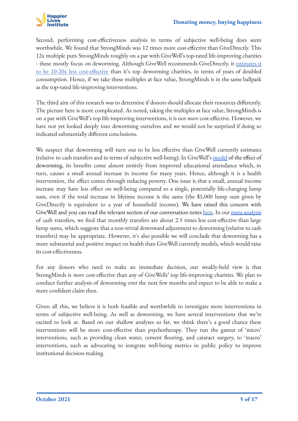

Second, performing cost-effectiveness analysis in terms of subjective well-being does seem worthwhile. We found that StrongMinds was 12 times more cost-effective than GiveDirectly. This 12x multiple puts StrongMinds roughly on a par with GiveWell's top-rated life-improving charities - these mostly focus on deworming. Although GiveWell recommends GiveDirectly, it [estimates it](https://docs.google.com/spreadsheets/d/11HsJLpq0Suf3SK_PmzzWpK1tr_BTd364j0l3xVvSCQw/edit#gid=81756163) [to be 10-20x less cost-effective](https://docs.google.com/spreadsheets/d/11HsJLpq0Suf3SK_PmzzWpK1tr_BTd364j0l3xVvSCQw/edit#gid=81756163) than it's top deworming charities, in terms of years of doubled consumption. Hence, if we take these multiples at face value, StrongMinds is in the same ballpark as the top-rated life-improving interventions.

The third aim of this research was to determine if donors should allocate their resources differently. The picture here is more complicated. As noted, taking the multiples at face value, StrongMinds is on a par with GiveWell's top life-improving interventions, it is not *more* cost-effective. However, we have not yet looked deeply into deworming ourselves and we would not be surprised if doing so indicated substantially different conclusions.

We suspect that deworming will turn out to be less effective than GiveWell currently estimates (relative to cash transfers and in terms of subjective well-being). In GiveWell's [model](https://www.givewell.org/international/technical/programs/deworming) of the effect of deworming, its benefits come almost entirely from improved educational attendance which, in turn, causes a small annual increase in income for many years. Hence, although it is a health intervention, the effect comes through reducing poverty. One issue is that a small, annual income increase may have less effect on well-being compared to a single, potentially life-changing lump sum, even if the total increase in lifetime income is the same (the \$1,000 lump sum given by GiveDirectly is equivalent to a year of household income). We have raised this concern with GiveWell and you can read the relevant section of our conversation notes [here.](https://docs.google.com/document/d/16hDzQvdQ7dhOoFlewNK9cMuq5Kox3ZxR2CpCZwKUtJg/edit#heading=h.k47lk1e4p74e) In our [meta-analysis](https://www.happierlivesinstitute.org/cash-transfers-cea.html) of cash transfers, we find that monthly transfers are about 2.5 times less cost-effective than large lump sums, which suggests that a non-trivial downward adjustment to deworming (relative to cash transfers) may be appropriate. However, it's also possible we will conclude that deworming has a more substantial and positive impact on health than GiveWell currently models, which would raise its cost-effectiveness.

For any donors who need to make an immediate decision, our weakly-held view is that StrongMinds is *more* cost-effective than any of GiveWells' top life-improving charities. We plan to conduct further analysis of deworming over the next few months and expect to be able to make a more confident claim then.

Given all this, we believe it is both feasible and worthwhile to investigate more interventions in terms of subjective well-being. As well as deworming, we have several interventions that we're excited to look at. Based on our shallow analyses so far, we think there's a good chance these interventions will be more cost-effective than psychotherapy. They run the gamut of 'micro' interventions, such as providing clean water, cement flooring, and cataract surgery, to 'macro' interventions, such as advocating to integrate well-being metrics in public policy to improve institutional decision-making.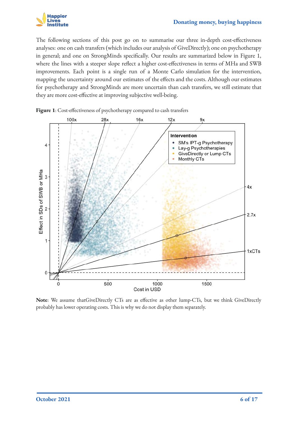

The following sections of this post go on to summarise our three in-depth cost-effectiveness analyses: one on cash transfers (which includes our analysis of GiveDirectly); one on psychotherapy in general; and one on StrongMinds specifically. Our results are summarized below in Figure 1, where the lines with a steeper slope reflect a higher cost-effectiveness in terms of MHa and SWB improvements. Each point is a single run of a Monte Carlo simulation for the intervention, mapping the uncertainty around our estimates of the effects and the costs. Although our estimates for psychotherapy and StrongMinds are more uncertain than cash transfers, we still estimate that they are more cost-effective at improving subjective well-being.



**Figure 1**: Cost-effectiveness of psychotherapy compared to cash transfers

**Note**: We assume thatGiveDirectly CTs are as effective as other lump-CTs, but we think GiveDirectly probably has lower operating costs. This is why we do not display them separately.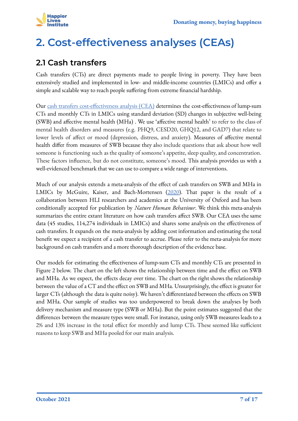

## <span id="page-6-0"></span>**2. Cost-effectiveness analyses (CEAs)**

#### <span id="page-6-1"></span>**2.1 Cash transfers**

Cash transfers (CTs) are direct payments made to people living in poverty. They have been extensively studied and implemented in low- and middle-income countries (LMICs) and offer a simple and scalable way to reach people suffering from extreme financial hardship.

Our [cash transfers cost-effectiveness analysis \(CEA\)](https://www.happierlivesinstitute.org/cash-transfers-cea.html) determines the cost-effectiveness of lump-sum CTs and monthly CTs in LMICs using standard deviation (SD) changes in subjective well-being (SWB) and affective mental health (MHa) . We use 'affective mental health' to refer to the class of mental health disorders and measures (e.g. PHQ9, CESD20, GHQ12, and GAD7) that relate to lower levels of affect or mood (depression, distress, and anxiety). Measures of affective mental health differ from measures of SWB because they also include questions that ask about how well someone is functioning such as the quality of someone's appetite, sleep quality, and concentration. These factors influence, but do not constitute, someone's mood. This analysis provides us with a well-evidenced benchmark that we can use to compare a wide range of interventions.

Much of our analysis extends a meta-analysis of the effect of cash transfers on SWB and MHa in LMICs by McGuire, Kaiser, and Bach-Mortensen [\(2020](https://www.happierlivesinstitute.org/cash-transfers.html)). That paper is the result of a collaboration between HLI researchers and academics at the University of Oxford and has been conditionally accepted for publication by *Nature Human Behaviour*. We think this meta-analysis summarizes the entire extant literature on how cash transfers affect SWB. Our CEA uses the same data (45 studies, 114,274 individuals in LMICs) and shares some analysis on the effectiveness of cash transfers. It expands on the meta-analysis by adding cost information and estimating the total benefit we expect a recipient of a cash transfer to accrue. Please refer to the meta-analysis for more background on cash transfers and a more thorough description of the evidence base.

Our models for estimating the effectiveness of lump-sum CTs and monthly CTs are presented in Figure 2 below. The chart on the left shows the relationship between time and the effect on SWB and MHa. As we expect, the effects decay over time. The chart on the right shows the relationship between the value of a CT and the effect on SWB and MHa. Unsurprisingly, the effect is greater for larger CTs (although the data is quite noisy). We haven't differentiated between the effects on SWB and MHa. Our sample of studies was too underpowered to break down the analyses by both delivery mechanism and measure type (SWB or MHa). But the point estimates suggested that the differences between the measure types were small. For instance, using only SWB measures leads to a 2% and 13% increase in the total effect for monthly and lump CTs. These seemed like sufficient reasons to keep SWB and MHa pooled for our main analysis.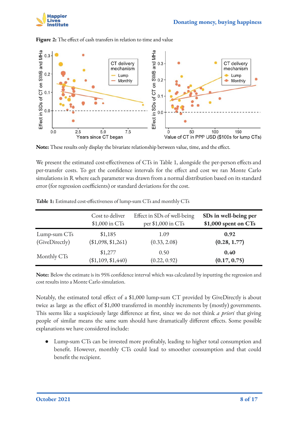



**Figure 2:** The effect of cash transfers in relation to time and value



We present the estimated cost-effectiveness of CTs in Table 1, alongside the per-person effects and per-transfer costs. To get the confidence intervals for the effect and cost we ran Monte Carlo simulations in R where each parameter was drawn from a normal distribution based on its standard error (for regression coefficients) or standard deviations for the cost.

|                | Cost to deliver    | Effect in SDs of well-being | SDs in well-being per |
|----------------|--------------------|-----------------------------|-----------------------|
|                | $$1,000$ in CTs    | per \$1,000 in CTs          | \$1,000 spent on CTs  |
| Lump-sum CTs   | \$1,185            | 1.09                        | 0.92                  |
| (GiveDirectly) | (\$1,098, \$1,261) | (0.33, 2.08)                | (0.28, 1.77)          |
| Monthly CTs    | \$1,277            | 0.50                        | 0.40                  |
|                | (\$1,109, \$1,440) | (0.22, 0.92)                | (0.17, 0.75)          |

|  |  | Table 1: Estimated cost-effectiveness of lump-sum CTs and monthly CTs |
|--|--|-----------------------------------------------------------------------|
|  |  |                                                                       |

**Note:** Below the estimate is its 95% confidence interval which was calculated by inputting the regression and cost results into a Monte Carlo simulation.

Notably, the estimated total effect of a \$1,000 lump-sum CT provided by GiveDirectly is about twice as large as the effect of \$1,000 transferred in monthly increments by (mostly) governments. This seems like a suspiciously large difference at first, since we do not think *a priori* that giving people of similar means the same sum should have dramatically different effects. Some possible explanations we have considered include:

Lump-sum CTs can be invested more profitably, leading to higher total consumption and benefit. However, monthly CTs could lead to smoother consumption and that could benefit the recipient.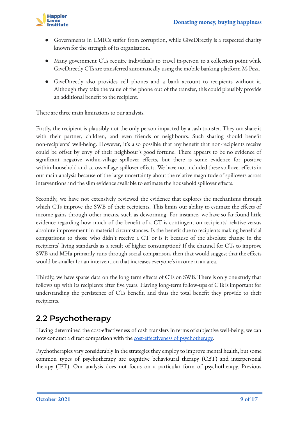

- Governments in LMICs suffer from corruption, while GiveDirectly is a respected charity known for the strength of its organisation.
- Many government CTs require individuals to travel in-person to a collection point while GiveDirectly CTs are transferred automatically using the mobile banking platform M-Pesa.
- GiveDirectly also provides cell phones and a bank account to recipients without it. Although they take the value of the phone out of the transfer, this could plausibly provide an additional benefit to the recipient.

There are three main limitations to our analysis.

Firstly, the recipient is plausibly not the only person impacted by a cash transfer. They can share it with their partner, children, and even friends or neighbours. Such sharing should benefit non-recipients' well-being. However, it's also possible that any benefit that non-recipients receive could be offset by envy of their neighbour's good fortune. There appears to be no evidence of significant negative within-village spillover effects, but there is some evidence for positive within-household and across-village spillover effects. We have not included these spillover effects in our main analysis because of the large uncertainty about the relative magnitude of spillovers across interventions and the slim evidence available to estimate the household spillover effects.

Secondly, we have not extensively reviewed the evidence that explores the mechanisms through which CTs improve the SWB of their recipients. This limits our ability to estimate the effects of income gains through other means, such as deworming. For instance, we have so far found little evidence regarding how much of the benefit of a CT is contingent on recipients' relative versus absolute improvement in material circumstances. Is the benefit due to recipients making beneficial comparisons to those who didn't receive a CT or is it because of the absolute change in the recipients' living standards as a result of higher consumption? If the channel for CTs to improve SWB and MHa primarily runs through social comparison, then that would suggest that the effects would be smaller for an intervention that increases everyone's income in an area.

Thirdly, we have sparse data on the long term effects of CTs on SWB. There is only one study that follows up with its recipients after five years. Having long-term follow-ups of CTs is important for understanding the persistence of CTs benefit, and thus the total benefit they provide to their recipients.

#### <span id="page-8-0"></span>**2.2 Psychotherapy**

Having determined the cost-effectiveness of cash transfers in terms of subjective well-being, we can now conduct a direct comparison with the [cost-effectiveness of psychotherapy](https://www.happierlivesinstitute.org/psychotherapy-cea.html).

Psychotherapies vary considerably in the strategies they employ to improve mental health, but some common types of psychotherapy are cognitive behavioural therapy (CBT) and interpersonal therapy (IPT). Our analysis does not focus on a particular form of psychotherapy. Previous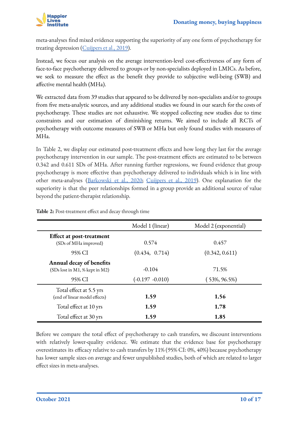

meta-analyses find mixed evidence supporting the superiority of any one form of psychotherapy for treating depression ([Cuijpers et al., 2019\)](https://www.tandfonline.com/doi/full/10.1080/10503307.2019.1649732).

Instead, we focus our analysis on the average intervention-level cost-effectiveness of any form of face-to-face psychotherapy delivered to groups or by non-specialists deployed in LMICs. As before, we seek to measure the effect as the benefit they provide to subjective well-being (SWB) and affective mental health (MHa).

We extracted data from 39 studies that appeared to be delivered by non-specialists and/or to groups from five meta-analytic sources, and any additional studies we found in our search for the costs of psychotherapy. These studies are not exhaustive. We stopped collecting new studies due to time constraints and our estimation of diminishing returns. We aimed to include all RCTs of psychotherapy with outcome measures of SWB or MHa but only found studies with measures of MHa.

In Table 2, we display our estimated post-treatment effects and how long they last for the average psychotherapy intervention in our sample. The post-treatment effects are estimated to be between 0.342 and 0.611 SDs of MHa. After running further regressions, we found evidence that group psychotherapy is more effective than psychotherapy delivered to individuals which is in line with other meta-analyses ([Barkowski et al., 2020;](https://www.semanticscholar.org/paper/Efficacy-of-group-psychotherapy-for-anxiety-A-and-Barkowski-Schwartze/b289be976cc92e5a326a8b1decae3301a2e7584c) [Cuijpers et al., 2019\)](https://onlinelibrary.wiley.com/doi/full/10.1002/wps.20493). One explanation for the superiority is that the peer relationships formed in a group provide an additional source of value beyond the patient-therapist relationship.

|                                                            | Model 1 (linear)   | Model 2 (exponential) |
|------------------------------------------------------------|--------------------|-----------------------|
| <b>Effect at post-treatment</b><br>(SDs of MHa improved)   | 0.574              | 0.457                 |
| 95% CI                                                     | (0.434, 0.714)     | (0.342, 0.611)        |
| Annual decay of benefits<br>(SDs lost in M1, % kept in M2) | $-0.104$           | 71.5%                 |
| 95% CI                                                     | $(-0.197 - 0.010)$ | $(53\%, 96.5\%)$      |
| Total effect at 5.5 yrs<br>(end of linear model effects)   | 1.59               | 1.56                  |
| Total effect at 10 yrs                                     | 1.59               | 1.78                  |
| Total effect at 30 yrs                                     | 1.59               | 1.85                  |

**Table 2:** Post-treatment effect and decay through time

Before we compare the total effect of psychotherapy to cash transfers, we discount interventions with relatively lower-quality evidence. We estimate that the evidence base for psychotherapy overestimates its efficacy relative to cash transfers by 11% (95% CI: 0%, 40%) because psychotherapy has lower sample sizes on average and fewer unpublished studies, both of which are related to larger effect sizes in meta-analyses.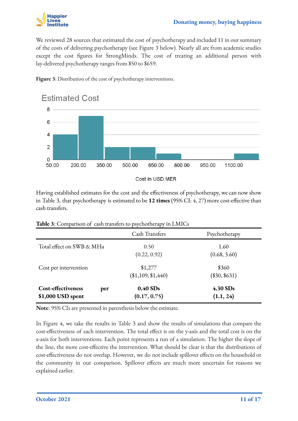

We reviewed 28 sources that estimated the cost of psychotherapy and included 11 in our summary of the costs of delivering psychotherapy (see Figure 3 below). Nearly all are from academic studies except the cost figures for StrongMinds. The cost of treating an additional person with lay-delivered psychotherapy ranges from \$50 to \$659.



**Figure 3**: Distribution of the cost of psychotherapy interventions.

Having established estimates for the cost and the effectiveness of psychotherapy, we can now show in Table 3, that psychotherapy is estimated to be **12 times** (95% CI: 4, 27) more cost-effective than cash transfers.

|                                                       | Cash Transfers                | Psychotherapy            |
|-------------------------------------------------------|-------------------------------|--------------------------|
| Total effect on SWB & MHa                             | 0.50<br>(0.22, 0.92)          | 1.60<br>(0.68, 3.60)     |
| Cost per intervention                                 | \$1,277<br>(\$1,109, \$1,440) | \$360<br>$(\$30, \$631)$ |
| <b>Cost-effectiveness</b><br>per<br>\$1,000 USD spent | $0.40$ SDs<br>(0.17, 0.75)    | $4.30$ SDs<br>(1.1, 24)  |

**Table 3**: Comparison of cash transfers to psychotherapy in LMICs

**Note**: 95% CIs are presented in parenthesis below the estimate.

In Figure 4, we take the results in Table 3 and show the results of simulations that compare the cost-effectiveness of each intervention. The total effect is on the y-axis and the total cost is on the x-axis for both interventions. Each point represents a run of a simulation. The higher the slope of the line, the more cost-effective the intervention. What should be clear is that the distributions of cost-effectiveness do not overlap. However, we do not include spillover effects on the household or the community in our comparison. Spillover effects are much more uncertain for reasons we explained earlier.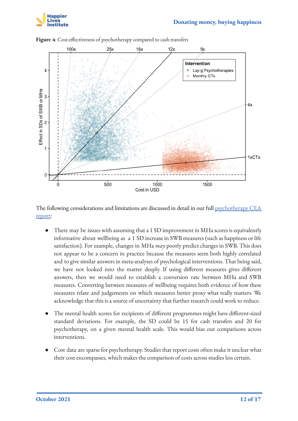



**Figure 4**: Cost-effectiveness of psychotherapy compared to cash transfers

The following considerations and limitations are discussed in detail in our full [psychotherapy CEA](https://www.happierlivesinstitute.org/psychotherapy-cea.html) [report:](https://www.happierlivesinstitute.org/psychotherapy-cea.html)

- There may be issues with assuming that a 1 SD improvement in MHa scores is equivalently informative about wellbeing as a 1 SD increase in SWB measures (such as happiness or life satisfaction). For example, changes in MHa *may* poorly predict changes in SWB. This does not appear to be a concern in practice because the measures seem both highly correlated and to give similar answers in meta-analyses of psychological interventions. That being said, we have not looked into the matter deeply. If using different measures gives different answers, then we would need to establish a conversion rate between MHa and SWB measures. Converting between measures of wellbeing requires both evidence of how these measures relate and judgements on which measures better proxy what really matters. We acknowledge that this is a source of uncertainty that further research could work to reduce.
- The mental health scores for recipients of different programmes might have different-sized standard deviations. For example, the SD could be 15 for cash transfers and 20 for psychotherapy, on a given mental health scale. This would bias our comparisons across interventions.
- Cost data are sparse for psychotherapy. Studies that report costs often make it unclear what their cost encompasses, which makes the comparison of costs across studies less certain.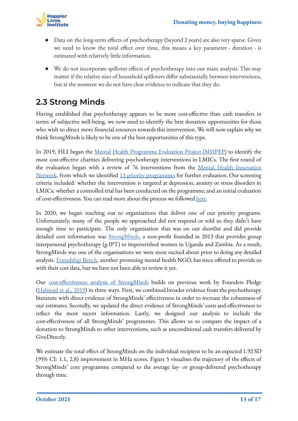

- Data on the long-term effects of psychotherapy (beyond 2 years) are also very sparse. Given we need to know the total effect over time, this means a key parameter - duration - is estimated with relatively little information.
- We do not incorporate spillover effects of psychotherapy into our main analysis. This may matter if the relative sizes of household spillovers differ substantially between interventions, but at the moment we do not have clear evidence to indicate that they do.

#### <span id="page-12-0"></span>**2.3 Strong Minds**

Having established that psychotherapy appears to be more cost-effective than cash transfers in terms of subjective well-being, we now need to identify the best donation opportunities for those who wish to direct more financial resources towards this intervention. We will now explain why we think StrongMinds is likely to be one of the best opportunities of this type.

In 2019, HLI began the [Mental Health Programme Evaluation Project \(MHPEP\)](https://www.happierlivesinstitute.org/report/mental-health-programme-evaluation-project/) to identify the most cost-effective charities delivering psychotherapy interventions in LMICs. The first round of the evaluation began with a review of 76 interventions from the [Mental Health Innovation](https://www.mhinnovation.net/innovations) [Network](https://www.mhinnovation.net/innovations), from which we identified [13 priority programmes](https://www.happierlivesinstitute.org/mental-health-programmes.html) for further evaluation. Our screening criteria included: whether the intervention is targeted at depression, anxiety or stress disorders in LMICs; whether a controlled trial has been conducted on the programme; and an initial evaluation of cost-effectiveness. You can read more about the process we followed [here.](https://forum.effectivealtruism.org/posts/uzLRw7cjpKnsuM7c3/hli-s-mental-health-programme-evaluation-project-update-on)

In 2020, we began reaching out to organisations that deliver one of our priority programs. Unfortunately, many of the people we approached did not respond or told us they didn't have enough time to participate. The only organisation that was on our shortlist and did provide detailed cost information was **[StrongMinds](https://strongminds.org/)**, a non-profit founded in 2013 that provides group interpersonal psychotherapy (g-IPT) to impoverished women in Uganda and Zambia. As a result, StrongMinds was one of the organisations we were most excited about prior to doing any detailed analysis. [Friendship Bench](https://www.friendshipbenchzimbabwe.org/), another promising mental health NGO, has since offered to provide us with their cost data, but we have not been able to review it yet.

Our [cost-effectiveness analysis of StrongMinds](https://www.happierlivesinstitute.org/strongminds-cea.html) builds on previous work by Founders Pledge ([Halstead et al., 2019](https://founderspledge.com/stories/mental-health-report-summary)) in three ways. First, we combined broader evidence from the psychotherapy literature with direct evidence of StrongMinds' effectiveness in order to increase the robustness of our estimates. Secondly, we updated the direct evidence of StrongMinds' costs and effectiveness to reflect the most recent information. Lastly, we designed our analysis to include the cost-effectiveness of all StrongMinds' programmes. This allows us to compare the impact of a donation to StrongMinds to other interventions, such as unconditional cash transfers delivered by GiveDirectly.

We estimate the total effect of StrongMinds on the individual recipient to be an expected 1.92 SD (95% CI: 1.1, 2.8) improvement in MHa scores. Figure 5 visualises the trajectory of the effects of StrongMinds' core programme compared to the average lay- or group-delivered psychotherapy through time.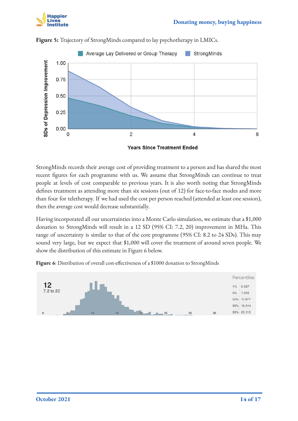



**Figure 5:** Trajectory of StrongMinds compared to lay psychotherapy in LMICs.



StrongMinds records their average cost of providing treatment to a person and has shared the most recent figures for each programme with us. We assume that StrongMinds can continue to treat people at levels of cost comparable to previous years. It is also worth noting that StrongMinds defines treatment as attending more than six sessions (out of 12) for face-to-face modes and more than four for teletherapy. If we had used the cost per person reached (attended at least one session), then the average cost would decrease substantially.

Having incorporated all our uncertainties into a Monte Carlo simulation, we estimate that a \$1,000 donation to StrongMinds will result in a 12 SD (95% CI: 7.2, 20) improvement in MHa. This range of uncertainty is similar to that of the core programme (95% CI: 8.2 to 24 SDs). This may sound very large, but we expect that \$1,000 will cover the treatment of around seven people. We show the distribution of this estimate in Figure 6 below.



**Figure 6**: Distribution of overall cost-effectiveness of a \$1000 donation to StrongMinds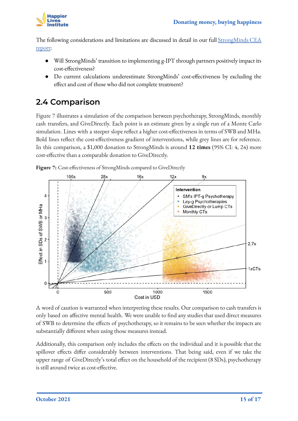

The following considerations and limitations are discussed in detail in our full [StrongMinds CEA](https://www.happierlivesinstitute.org/strongminds-cea.html) [report:](https://www.happierlivesinstitute.org/strongminds-cea.html)

- Will StrongMinds' transition to implementing g-IPT through partners positively impact its cost-effectiveness?
- Do current calculations underestimate StrongMinds' cost-effectiveness by excluding the effect and cost of those who did not complete treatment?

#### <span id="page-14-0"></span>**2.4 Comparison**

Figure 7 illustrates a simulation of the comparison between psychotherapy, StrongMinds, monthly cash transfers, and GiveDirectly. Each point is an estimate given by a single run of a Monte Carlo simulation. Lines with a steeper slope reflect a higher cost-effectiveness in terms of SWB and MHa. Bold lines reflect the cost-effectiveness gradient of interventions, while grey lines are for reference. In this comparison, a \$1,000 donation to StrongMinds is around **12 times** (95% CI: 4, 24) more cost-effective than a comparable donation to GiveDirectly.





A word of caution is warranted when interpreting these results. Our comparison to cash transfers is only based on affective mental health. We were unable to find any studies that used direct measures of SWB to determine the effects of psychotherapy, so it remains to be seen whether the impacts are substantially different when using those measures instead.

Additionally, this comparison only includes the effects on the individual and it is possible that the spillover effects differ considerably between interventions. That being said, even if we take the upper range of GiveDirectly's total effect on the household of the recipient (8 SDs), psychotherapy is still around twice as cost-effective.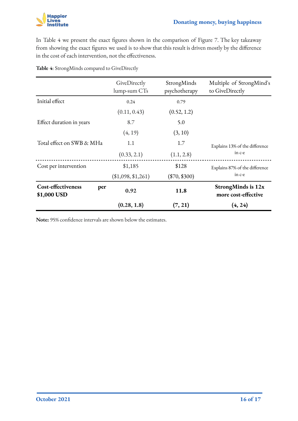In Table 4 we present the exact figures shown in the comparison of Figure 7. The key takeaway from showing the exact figures we used is to show that this result is driven mostly by the difference in the cost of each intervention, not the effectiveness.

|                                          | GiveDirectly<br>lump-sum CTs | StrongMinds<br>psychotherapy | Multiple of StrongMind's<br>to GiveDirectly      |
|------------------------------------------|------------------------------|------------------------------|--------------------------------------------------|
| Initial effect                           | 0.24                         | 0.79                         |                                                  |
|                                          | (0.11, 0.43)                 | (0.52, 1.2)                  |                                                  |
| Effect duration in years                 | 8.7                          | 5.0                          |                                                  |
|                                          | (4, 19)                      | (3, 10)                      |                                                  |
| Total effect on SWB & MHa                | 1.1                          | 1.7                          | Explains 13% of the difference                   |
|                                          | (0.33, 2.1)                  | (1.1, 2.8)                   | in c-e                                           |
| Cost per intervention                    | \$1,185                      | \$128                        | Explains 87% of the difference                   |
|                                          | (\$1,098, \$1,261)           | $(\$70, \$300)$              | in c-e                                           |
| Cost-effectiveness<br>per<br>\$1,000 USD | 0.92                         | 11.8                         | <b>StrongMinds is 12x</b><br>more cost-effective |
|                                          | (0.28, 1.8)                  | (7, 21)                      | (4, 24)                                          |

**Table 4**: StrongMinds compared to GiveDirectly

**Note:** 95% confidence intervals are shown below the estimates.